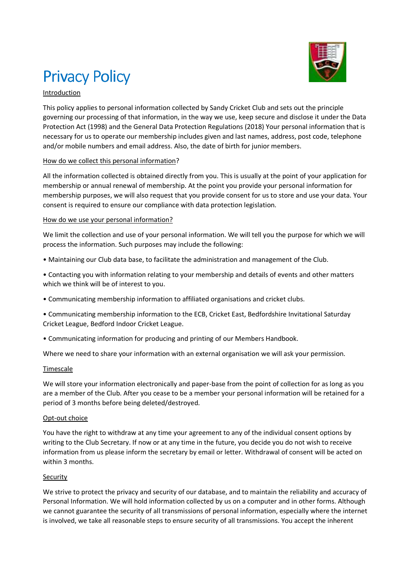

# **Privacy Policy**

## Introduction

This policy applies to personal information collected by Sandy Cricket Club and sets out the principle governing our processing of that information, in the way we use, keep secure and disclose it under the Data Protection Act (1998) and the General Data Protection Regulations (2018) Your personal information that is necessary for us to operate our membership includes given and last names, address, post code, telephone and/or mobile numbers and email address. Also, the date of birth for junior members.

#### How do we collect this personal information?

All the information collected is obtained directly from you. This is usually at the point of your application for membership or annual renewal of membership. At the point you provide your personal information for membership purposes, we will also request that you provide consent for us to store and use your data. Your consent is required to ensure our compliance with data protection legislation.

## How do we use your personal information?

We limit the collection and use of your personal information. We will tell you the purpose for which we will process the information. Such purposes may include the following:

- Maintaining our Club data base, to facilitate the administration and management of the Club.
- Contacting you with information relating to your membership and details of events and other matters which we think will be of interest to you.
- Communicating membership information to affiliated organisations and cricket clubs.
- Communicating membership information to the ECB, Cricket East, Bedfordshire Invitational Saturday Cricket League, Bedford Indoor Cricket League.
- Communicating information for producing and printing of our Members Handbook.

Where we need to share your information with an external organisation we will ask your permission.

#### Timescale

We will store your information electronically and paper-base from the point of collection for as long as you are a member of the Club. After you cease to be a member your personal information will be retained for a period of 3 months before being deleted/destroyed.

#### Opt-out choice

You have the right to withdraw at any time your agreement to any of the individual consent options by writing to the Club Secretary. If now or at any time in the future, you decide you do not wish to receive information from us please inform the secretary by email or letter. Withdrawal of consent will be acted on within 3 months.

#### **Security**

We strive to protect the privacy and security of our database, and to maintain the reliability and accuracy of Personal Information. We will hold information collected by us on a computer and in other forms. Although we cannot guarantee the security of all transmissions of personal information, especially where the internet is involved, we take all reasonable steps to ensure security of all transmissions. You accept the inherent